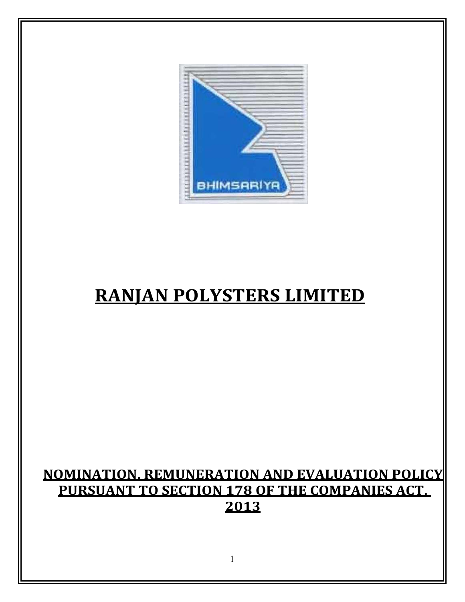

# RANJAN POLYSTERS LIMITED

# NOMINATION, REMUNERATION AND EVALUATION POLICY PURSUANT TO SECTION 178 OF THE COMPANIES ACT, 2013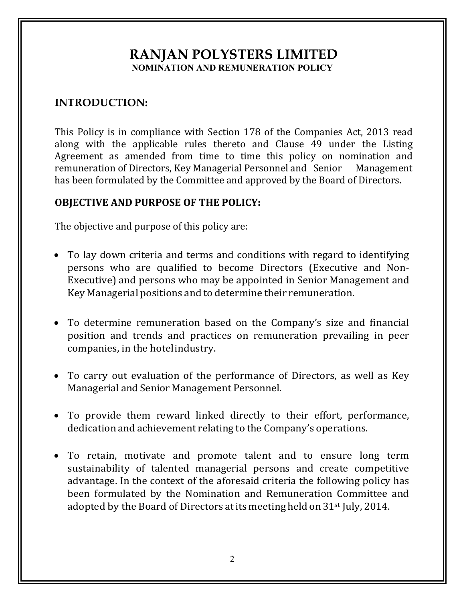# **RANJAN POLYSTERS LIMITED** NOMINATION AND REMUNERATION POLICY

#### INTRODUCTION:

This Policy is in compliance with Section 178 of the Companies Act, 2013 read along with the applicable rules thereto and Clause 49 under the Listing Agreement as amended from time to time this policy on nomination and remuneration of Directors, Key Managerial Personnel and Senior Management has been formulated by the Committee and approved by the Board of Directors.

#### OBJECTIVE AND PURPOSE OF THE POLICY:

The objective and purpose of this policy are:

- To lay down criteria and terms and conditions with regard to identifying persons who are qualified to become Directors (Executive and Non-Executive) and persons who may be appointed in Senior Management and Key Managerial positions and to determine their remuneration.
- To determine remuneration based on the Company's size and financial position and trends and practices on remuneration prevailing in peer companies, in the hotel industry.
- To carry out evaluation of the performance of Directors, as well as Key Managerial and Senior Management Personnel.
- To provide them reward linked directly to their effort, performance, dedication and achievement relating to the Company's operations.
- To retain, motivate and promote talent and to ensure long term sustainability of talented managerial persons and create competitive advantage. In the context of the aforesaid criteria the following policy has been formulated by the Nomination and Remuneration Committee and adopted by the Board of Directors at its meeting held on 31<sup>st</sup> July, 2014.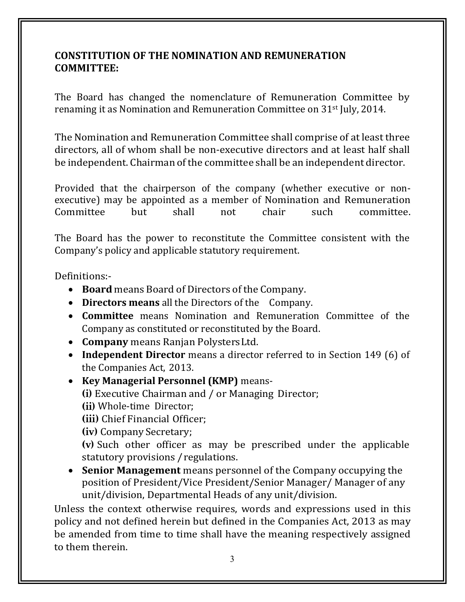#### CONSTITUTION OF THE NOMINATION AND REMUNERATION COMMITTEE:

The Board has changed the nomenclature of Remuneration Committee by renaming it as Nomination and Remuneration Committee on 31st July, 2014.

The Nomination and Remuneration Committee shall comprise of at least three directors, all of whom shall be non-executive directors and at least half shall be independent. Chairman of the committee shall be an independent director.

Provided that the chairperson of the company (whether executive or nonexecutive) may be appointed as a member of Nomination and Remuneration Committee but shall not chair such committee.

The Board has the power to reconstitute the Committee consistent with the Company's policy and applicable statutory requirement.

Definitions:-

- Board means Board of Directors of the Company.
- Directors means all the Directors of the Company.
- Committee means Nomination and Remuneration Committee of the Company as constituted or reconstituted by the Board.
- Company means Ranjan Polysters Ltd.
- Independent Director means a director referred to in Section 149 (6) of the Companies Act, 2013.
- Key Managerial Personnel (KMP) means-
	- (i) Executive Chairman and / or Managing Director;
	- (ii) Whole-time Director;

(iii) Chief Financial Officer;

(iv) Company Secretary;

(v) Such other officer as may be prescribed under the applicable statutory provisions / regulations.

• Senior Management means personnel of the Company occupying the position of President/Vice President/Senior Manager/ Manager of any unit/division, Departmental Heads of any unit/division.

Unless the context otherwise requires, words and expressions used in this policy and not defined herein but defined in the Companies Act, 2013 as may be amended from time to time shall have the meaning respectively assigned to them therein.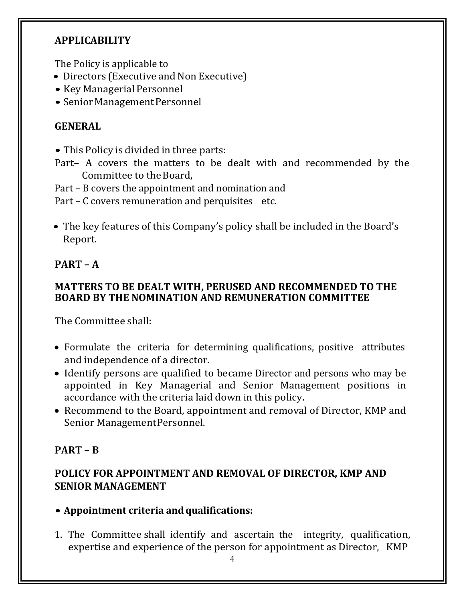# APPLICABILITY

The Policy is applicable to

- Directors (Executive and Non Executive)
- Key Managerial Personnel
- Senior Management Personnel

# **GENERAL**

• This Policy is divided in three parts:

- Part– A covers the matters to be dealt with and recommended by the Committee to the Board,
- Part B covers the appointment and nomination and

Part – C covers remuneration and perquisites etc.

• The key features of this Company's policy shall be included in the Board's Report.

# PART – A

#### MATTERS TO BE DEALT WITH, PERUSED AND RECOMMENDED TO THE BOARD BY THE NOMINATION AND REMUNERATION COMMITTEE

The Committee shall:

- Formulate the criteria for determining qualifications, positive attributes and independence of a director.
- Identify persons are qualified to became Director and persons who may be appointed in Key Managerial and Senior Management positions in accordance with the criteria laid down in this policy.
- Recommend to the Board, appointment and removal of Director, KMP and Senior Management Personnel.

# PART – B

# POLICY FOR APPOINTMENT AND REMOVAL OF DIRECTOR, KMP AND SENIOR MANAGEMENT

# • Appointment criteria and qualifications:

1. The Committee shall identify and ascertain the integrity, qualification, expertise and experience of the person for appointment as Director, KMP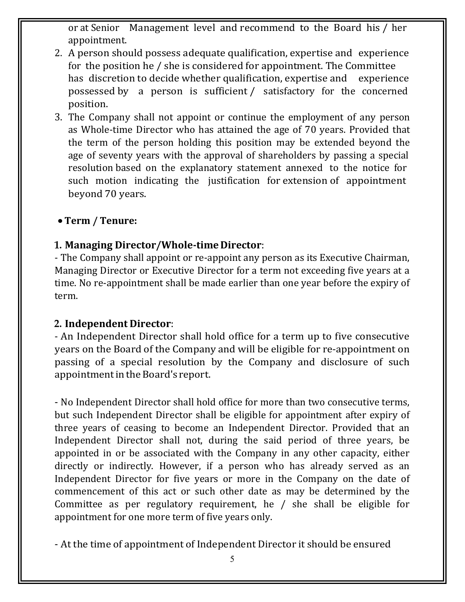or at Senior Management level and recommend to the Board his / her appointment.

- 2. A person should possess adequate qualification, expertise and experience for the position he / she is considered for appointment. The Committee has discretion to decide whether qualification, expertise and experience possessed by a person is sufficient / satisfactory for the concerned position.
- 3. The Company shall not appoint or continue the employment of any person as Whole-time Director who has attained the age of 70 years. Provided that the term of the person holding this position may be extended beyond the age of seventy years with the approval of shareholders by passing a special resolution based on the explanatory statement annexed to the notice for such motion indicating the justification for extension of appointment beyond 70 years.

#### • Term / Tenure:

#### . Managing Director/Whole-time Director:

- The Company shall appoint or re-appoint any person as its Executive Chairman, Managing Director or Executive Director for a term not exceeding five years at a time. No re-appointment shall be made earlier than one year before the expiry of term.

#### <sup>2</sup> . Independent Director:

- An Independent Director shall hold office for a term up to five consecutive years on the Board of the Company and will be eligible for re-appointment on passing of a special resolution by the Company and disclosure of such appointment in the Board's report.

- No Independent Director shall hold office for more than two consecutive terms, but such Independent Director shall be eligible for appointment after expiry of three years of ceasing to become an Independent Director. Provided that an Independent Director shall not, during the said period of three years, be appointed in or be associated with the Company in any other capacity, either directly or indirectly. However, if a person who has already served as an Independent Director for five years or more in the Company on the date of commencement of this act or such other date as may be determined by the Committee as per regulatory requirement, he / she shall be eligible for appointment for one more term of five years only.

- At the time of appointment of Independent Director it should be ensured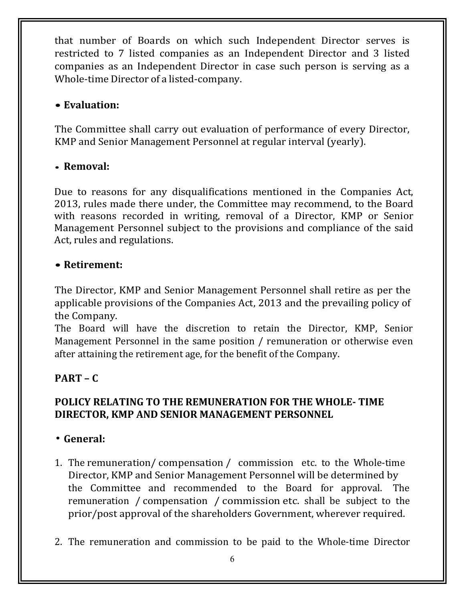that number of Boards on which such Independent Director serves is restricted to 7 listed companies as an Independent Director and 3 listed companies as an Independent Director in case such person is serving as a Whole-time Director of a listed-company.

# • Evaluation:

The Committee shall carry out evaluation of performance of every Director, KMP and Senior Management Personnel at regular interval (yearly).

#### • Removal:

Due to reasons for any disqualifications mentioned in the Companies Act, 2013, rules made there under, the Committee may recommend, to the Board with reasons recorded in writing, removal of a Director, KMP or Senior Management Personnel subject to the provisions and compliance of the said Act, rules and regulations.

#### • Retirement:

The Director, KMP and Senior Management Personnel shall retire as per the applicable provisions of the Companies Act, 2013 and the prevailing policy of the Company.

The Board will have the discretion to retain the Director, KMP, Senior Management Personnel in the same position / remuneration or otherwise even after attaining the retirement age, for the benefit of the Company.

# PART – C

#### POLICY RELATING TO THE REMUNERATION FOR THE WHOLE- TIME DIRECTOR, KMP AND SENIOR MANAGEMENT PERSONNEL

# General:

- 1. The remuneration/ compensation / commission etc. to the Whole-time Director, KMP and Senior Management Personnel will be determined by the Committee and recommended to the Board for approval. The remuneration / compensation / commission etc. shall be subject to the prior/post approval of the shareholders Government, wherever required.
- 2. The remuneration and commission to be paid to the Whole-time Director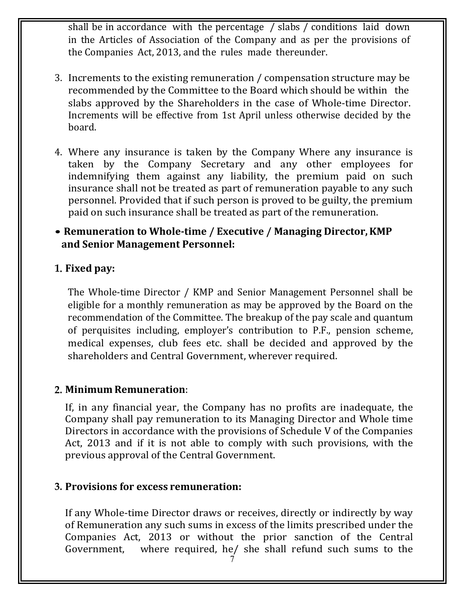shall be in accordance with the percentage / slabs / conditions laid down in the Articles of Association of the Company and as per the provisions of the Companies Act, 2013, and the rules made thereunder.

- 3. Increments to the existing remuneration / compensation structure may be recommended by the Committee to the Board which should be within the slabs approved by the Shareholders in the case of Whole-time Director. Increments will be effective from 1st April unless otherwise decided by the board.
- 4. Where any insurance is taken by the Company Where any insurance is taken by the Company Secretary and any other employees for indemnifying them against any liability, the premium paid on such insurance shall not be treated as part of remuneration payable to any such personnel. Provided that if such person is proved to be guilty, the premium paid on such insurance shall be treated as part of the remuneration.

# • Remuneration to Whole-time / Executive / Managing Director, KMP and Senior Management Personnel:

# . Fixed pay:

The Whole-time Director / KMP and Senior Management Personnel shall be eligible for a monthly remuneration as may be approved by the Board on the recommendation of the Committee. The breakup of the pay scale and quantum of perquisites including, employer's contribution to P.F., pension scheme, medical expenses, club fees etc. shall be decided and approved by the shareholders and Central Government, wherever required.

# <sup>2</sup> . Minimum Remuneration:

If, in any financial year, the Company has no profits are inadequate, the Company shall pay remuneration to its Managing Director and Whole time Directors in accordance with the provisions of Schedule V of the Companies Act, 2013 and if it is not able to comply with such provisions, with the previous approval of the Central Government.

# <sup>3</sup> . Provisions for excess remuneration:

If any Whole-time Director draws or receives, directly or indirectly by way of Remuneration any such sums in excess of the limits prescribed under the Companies Act, 2013 or without the prior sanction of the Central Government, where required, he/ she shall refund such sums to the